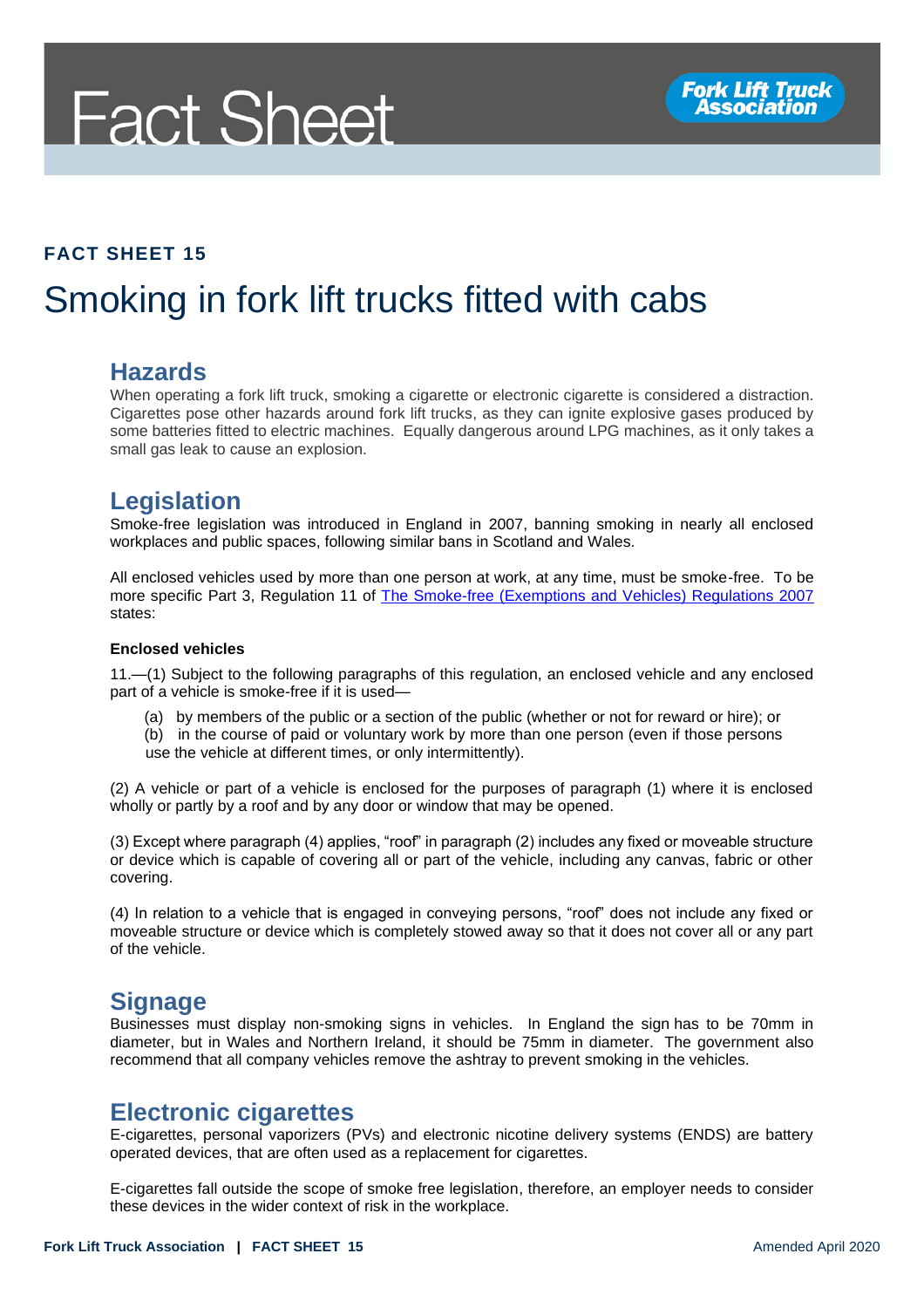# **Fact Sheet**

#### **FACT SHEET 15**

## Smoking in fork lift trucks fitted with cabs

#### **Hazards**

When operating a fork lift truck, smoking a cigarette or electronic cigarette is considered a distraction. Cigarettes pose other hazards around fork lift trucks, as they can ignite explosive gases produced by some batteries fitted to electric machines. Equally dangerous around LPG machines, as it only takes a small gas leak to cause an explosion.

### **Legislation**

Smoke-free legislation was introduced in England in 2007, banning smoking in nearly all enclosed workplaces and public spaces, following similar bans in Scotland and Wales.

All enclosed vehicles used by more than one person at work, at any time, must be smoke-free. To be more specific Part 3, Regulation 11 of [The Smoke-free \(Exemptions and Vehicles\) Regulations 2007](http://www.legislation.gov.uk/uksi/2007/765/contents/made) states:

#### **Enclosed vehicles**

11.—(1) Subject to the following paragraphs of this regulation, an enclosed vehicle and any enclosed part of a vehicle is smoke-free if it is used—

- (a) by members of the public or a section of the public (whether or not for reward or hire); or
- (b) in the course of paid or voluntary work by more than one person (even if those persons use the vehicle at different times, or only intermittently).

(2) A vehicle or part of a vehicle is enclosed for the purposes of paragraph (1) where it is enclosed wholly or partly by a roof and by any door or window that may be opened.

(3) Except where paragraph (4) applies, "roof" in paragraph (2) includes any fixed or moveable structure or device which is capable of covering all or part of the vehicle, including any canvas, fabric or other covering.

(4) In relation to a vehicle that is engaged in conveying persons, "roof" does not include any fixed or moveable structure or device which is completely stowed away so that it does not cover all or any part of the vehicle.

#### **Signage**

Businesses must display non-smoking signs in vehicles. In England the sign has to be 70mm in diameter, but in Wales and Northern Ireland, it should be 75mm in diameter. The government also recommend that all company vehicles remove the ashtray to prevent smoking in the vehicles.

#### **Electronic cigarettes**

E-cigarettes, personal vaporizers (PVs) and electronic nicotine delivery systems (ENDS) are battery operated devices, that are often used as a replacement for cigarettes.

E-cigarettes fall outside the scope of smoke free legislation, therefore, an employer needs to consider these devices in the wider context of risk in the workplace.